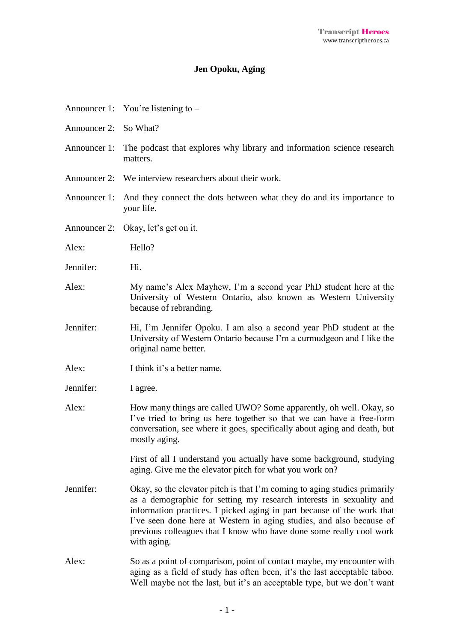## **Jen Opoku, Aging**

|                       | Announcer 1: You're listening to –                                                                                                                                                                                                                                                                                                                                                       |
|-----------------------|------------------------------------------------------------------------------------------------------------------------------------------------------------------------------------------------------------------------------------------------------------------------------------------------------------------------------------------------------------------------------------------|
| Announcer 2: So What? |                                                                                                                                                                                                                                                                                                                                                                                          |
|                       | Announcer 1: The podcast that explores why library and information science research<br>matters.                                                                                                                                                                                                                                                                                          |
|                       | Announcer 2: We interview researchers about their work.                                                                                                                                                                                                                                                                                                                                  |
|                       | Announcer 1: And they connect the dots between what they do and its importance to<br>your life.                                                                                                                                                                                                                                                                                          |
|                       | Announcer 2: Okay, let's get on it.                                                                                                                                                                                                                                                                                                                                                      |
| Alex:                 | Hello?                                                                                                                                                                                                                                                                                                                                                                                   |
| Jennifer:             | Hi.                                                                                                                                                                                                                                                                                                                                                                                      |
| Alex:                 | My name's Alex Mayhew, I'm a second year PhD student here at the<br>University of Western Ontario, also known as Western University<br>because of rebranding.                                                                                                                                                                                                                            |
| Jennifer:             | Hi, I'm Jennifer Opoku. I am also a second year PhD student at the<br>University of Western Ontario because I'm a curmudgeon and I like the<br>original name better.                                                                                                                                                                                                                     |
| Alex:                 | I think it's a better name.                                                                                                                                                                                                                                                                                                                                                              |
| Jennifer:             | I agree.                                                                                                                                                                                                                                                                                                                                                                                 |
| Alex:                 | How many things are called UWO? Some apparently, oh well. Okay, so<br>I've tried to bring us here together so that we can have a free-form<br>conversation, see where it goes, specifically about aging and death, but<br>mostly aging.                                                                                                                                                  |
|                       | First of all I understand you actually have some background, studying<br>aging. Give me the elevator pitch for what you work on?                                                                                                                                                                                                                                                         |
| Jennifer:             | Okay, so the elevator pitch is that I'm coming to aging studies primarily<br>as a demographic for setting my research interests in sexuality and<br>information practices. I picked aging in part because of the work that<br>I've seen done here at Western in aging studies, and also because of<br>previous colleagues that I know who have done some really cool work<br>with aging. |
| Alex:                 | So as a point of comparison, point of contact maybe, my encounter with<br>aging as a field of study has often been, it's the last acceptable taboo.<br>Well maybe not the last, but it's an acceptable type, but we don't want                                                                                                                                                           |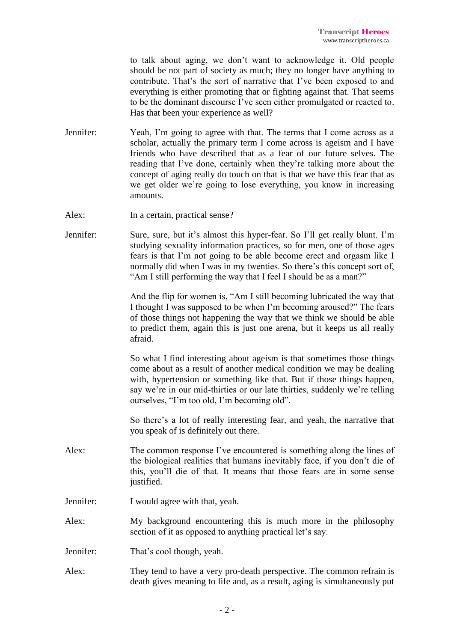to talk about aging, we don't want to acknowledge it. Old people should be not part of society as much; they no longer have anything to contribute. That's the sort of narrative that I've been exposed to and everything is either promoting that or fighting against that. That seems to be the dominant discourse I've seen either promulgated or reacted to. Has that been your experience as well?

- Jennifer: Yeah, I'm going to agree with that. The terms that I come across as a scholar, actually the primary term I come across is ageism and I have friends who have described that as a fear of our future selves. The reading that I've done, certainly when they're talking more about the concept of aging really do touch on that is that we have this fear that as we get older we're going to lose everything, you know in increasing amounts.
- Alex: In a certain, practical sense?
- Jennifer: Sure, sure, but it's almost this hyper-fear. So I'll get really blunt. I'm studying sexuality information practices, so for men, one of those ages fears is that I'm not going to be able become erect and orgasm like I normally did when I was in my twenties. So there's this concept sort of, "Am I still performing the way that I feel I should be as a man?"

And the flip for women is, "Am I still becoming lubricated the way that I thought I was supposed to be when I'm becoming aroused?" The fears of those things not happening the way that we think we should be able to predict them, again this is just one arena, but it keeps us all really afraid.

So what I find interesting about ageism is that sometimes those things come about as a result of another medical condition we may be dealing with, hypertension or something like that. But if those things happen, say we're in our mid-thirties or our late thirties, suddenly we're telling ourselves, "I'm too old, I'm becoming old".

So there's a lot of really interesting fear, and yeah, the narrative that you speak of is definitely out there.

- Alex: The common response I've encountered is something along the lines of the biological realities that humans inevitably face, if you don't die of this, you'll die of that. It means that those fears are in some sense justified.
- Jennifer: I would agree with that, yeah.
- Alex: My background encountering this is much more in the philosophy section of it as opposed to anything practical let's say.
- Jennifer: That's cool though, yeah.
- Alex: They tend to have a very pro-death perspective. The common refrain is death gives meaning to life and, as a result, aging is simultaneously put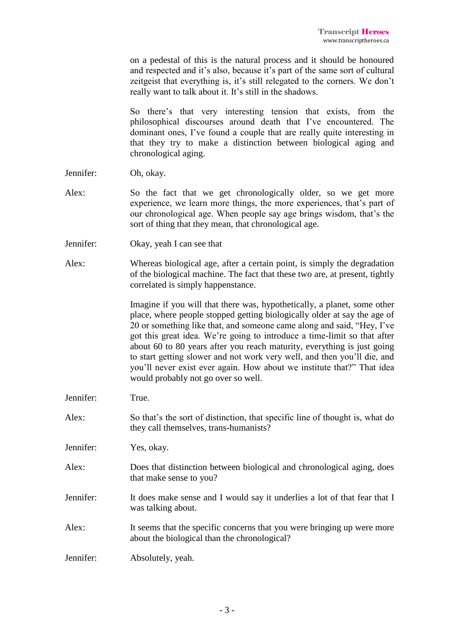on a pedestal of this is the natural process and it should be honoured and respected and it's also, because it's part of the same sort of cultural zeitgeist that everything is, it's still relegated to the corners. We don't really want to talk about it. It's still in the shadows.

So there's that very interesting tension that exists, from the philosophical discourses around death that I've encountered. The dominant ones, I've found a couple that are really quite interesting in that they try to make a distinction between biological aging and chronological aging.

- Jennifer: Oh, okay.
- Alex: So the fact that we get chronologically older, so we get more experience, we learn more things, the more experiences, that's part of our chronological age. When people say age brings wisdom, that's the sort of thing that they mean, that chronological age.
- Jennifer: Okay, yeah I can see that
- Alex: Whereas biological age, after a certain point, is simply the degradation of the biological machine. The fact that these two are, at present, tightly correlated is simply happenstance.

Imagine if you will that there was, hypothetically, a planet, some other place, where people stopped getting biologically older at say the age of 20 or something like that, and someone came along and said, "Hey, I've got this great idea. We're going to introduce a time-limit so that after about 60 to 80 years after you reach maturity, everything is just going to start getting slower and not work very well, and then you'll die, and you'll never exist ever again. How about we institute that?" That idea would probably not go over so well.

- Jennifer: True.
- Alex: So that's the sort of distinction, that specific line of thought is, what do they call themselves, trans-humanists?
- Jennifer: Yes, okay.
- Alex: Does that distinction between biological and chronological aging, does that make sense to you?
- Jennifer: It does make sense and I would say it underlies a lot of that fear that I was talking about.
- Alex: It seems that the specific concerns that you were bringing up were more about the biological than the chronological?

Jennifer: Absolutely, yeah.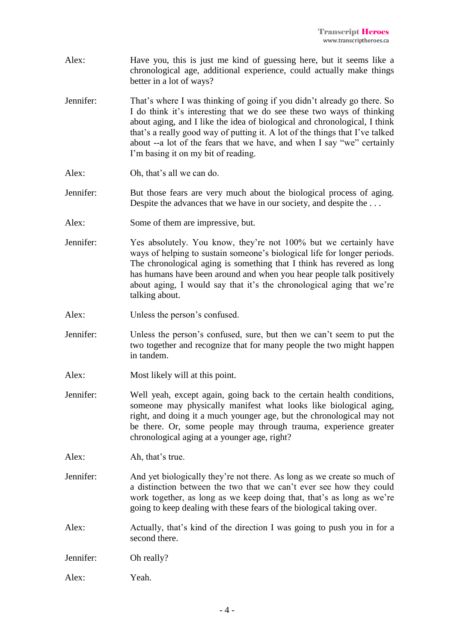- Alex: Have you, this is just me kind of guessing here, but it seems like a chronological age, additional experience, could actually make things better in a lot of ways?
- Jennifer: That's where I was thinking of going if you didn't already go there. So I do think it's interesting that we do see these two ways of thinking about aging, and I like the idea of biological and chronological, I think that's a really good way of putting it. A lot of the things that I've talked about --a lot of the fears that we have, and when I say "we" certainly I'm basing it on my bit of reading.
- Alex: Oh, that's all we can do.
- Jennifer: But those fears are very much about the biological process of aging. Despite the advances that we have in our society, and despite the . . .
- Alex: Some of them are impressive, but.
- Jennifer: Yes absolutely. You know, they're not 100% but we certainly have ways of helping to sustain someone's biological life for longer periods. The chronological aging is something that I think has revered as long has humans have been around and when you hear people talk positively about aging, I would say that it's the chronological aging that we're talking about.
- Alex: Unless the person's confused.
- Jennifer: Unless the person's confused, sure, but then we can't seem to put the two together and recognize that for many people the two might happen in tandem.
- Alex: Most likely will at this point.
- Jennifer: Well yeah, except again, going back to the certain health conditions, someone may physically manifest what looks like biological aging, right, and doing it a much younger age, but the chronological may not be there. Or, some people may through trauma, experience greater chronological aging at a younger age, right?
- Alex: Ah, that's true.
- Jennifer: And yet biologically they're not there. As long as we create so much of a distinction between the two that we can't ever see how they could work together, as long as we keep doing that, that's as long as we're going to keep dealing with these fears of the biological taking over.
- Alex: Actually, that's kind of the direction I was going to push you in for a second there.
- Jennifer: Oh really?
- Alex: Yeah.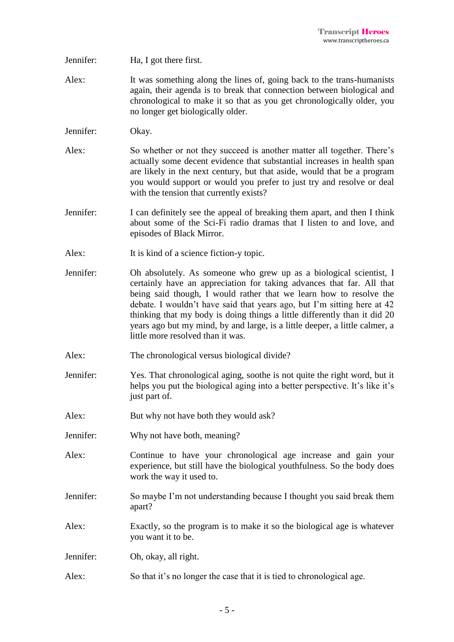- Jennifer: Ha, I got there first.
- Alex: It was something along the lines of, going back to the trans-humanists again, their agenda is to break that connection between biological and chronological to make it so that as you get chronologically older, you no longer get biologically older.
- Jennifer: Okay.
- Alex: So whether or not they succeed is another matter all together. There's actually some decent evidence that substantial increases in health span are likely in the next century, but that aside, would that be a program you would support or would you prefer to just try and resolve or deal with the tension that currently exists?
- Jennifer: I can definitely see the appeal of breaking them apart, and then I think about some of the Sci-Fi radio dramas that I listen to and love, and episodes of Black Mirror.
- Alex: It is kind of a science fiction-y topic.
- Jennifer: Oh absolutely. As someone who grew up as a biological scientist, I certainly have an appreciation for taking advances that far. All that being said though, I would rather that we learn how to resolve the debate. I wouldn't have said that years ago, but I'm sitting here at 42 thinking that my body is doing things a little differently than it did 20 years ago but my mind, by and large, is a little deeper, a little calmer, a little more resolved than it was.
- Alex: The chronological versus biological divide?
- Jennifer: Yes. That chronological aging, soothe is not quite the right word, but it helps you put the biological aging into a better perspective. It's like it's just part of.
- Alex: But why not have both they would ask?
- Jennifer: Why not have both, meaning?
- Alex: Continue to have your chronological age increase and gain your experience, but still have the biological youthfulness. So the body does work the way it used to.
- Jennifer: So maybe I'm not understanding because I thought you said break them apart?
- Alex: Exactly, so the program is to make it so the biological age is whatever you want it to be.
- Jennifer: Oh, okay, all right.
- Alex: So that it's no longer the case that it is tied to chronological age.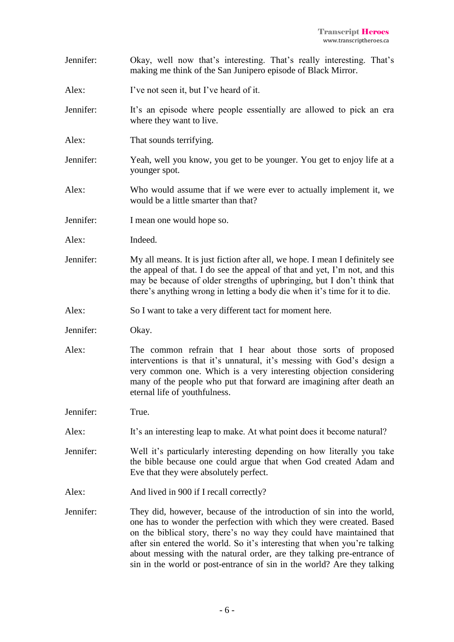- Jennifer: Okay, well now that's interesting. That's really interesting. That's making me think of the San Junipero episode of Black Mirror.
- Alex: I've not seen it, but I've heard of it.
- Jennifer: It's an episode where people essentially are allowed to pick an era where they want to live.
- Alex: That sounds terrifying.
- Jennifer: Yeah, well you know, you get to be younger. You get to enjoy life at a younger spot.
- Alex: Who would assume that if we were ever to actually implement it, we would be a little smarter than that?
- Jennifer: I mean one would hope so.
- Alex: Indeed.
- Jennifer: My all means. It is just fiction after all, we hope. I mean I definitely see the appeal of that. I do see the appeal of that and yet, I'm not, and this may be because of older strengths of upbringing, but I don't think that there's anything wrong in letting a body die when it's time for it to die.
- Alex: So I want to take a very different tact for moment here.
- Jennifer: Okay.
- Alex: The common refrain that I hear about those sorts of proposed interventions is that it's unnatural, it's messing with God's design a very common one. Which is a very interesting objection considering many of the people who put that forward are imagining after death an eternal life of youthfulness.
- Jennifer: True.
- Alex: It's an interesting leap to make. At what point does it become natural?
- Jennifer: Well it's particularly interesting depending on how literally you take the bible because one could argue that when God created Adam and Eve that they were absolutely perfect.
- Alex: And lived in 900 if I recall correctly?
- Jennifer: They did, however, because of the introduction of sin into the world, one has to wonder the perfection with which they were created. Based on the biblical story, there's no way they could have maintained that after sin entered the world. So it's interesting that when you're talking about messing with the natural order, are they talking pre-entrance of sin in the world or post-entrance of sin in the world? Are they talking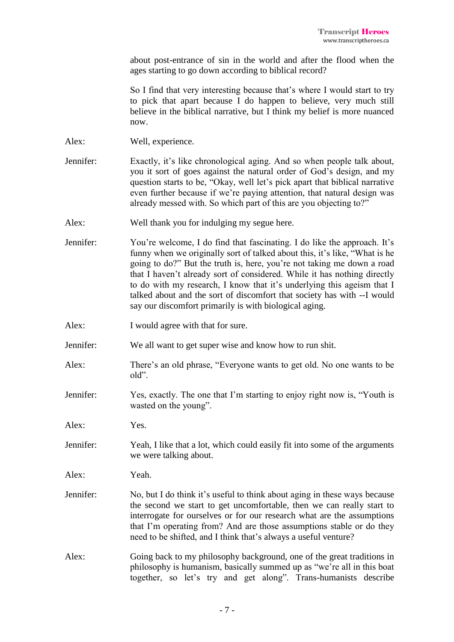about post-entrance of sin in the world and after the flood when the ages starting to go down according to biblical record?

So I find that very interesting because that's where I would start to try to pick that apart because I do happen to believe, very much still believe in the biblical narrative, but I think my belief is more nuanced now.

Alex: Well, experience.

- Jennifer: Exactly, it's like chronological aging. And so when people talk about, you it sort of goes against the natural order of God's design, and my question starts to be, "Okay, well let's pick apart that biblical narrative even further because if we're paying attention, that natural design was already messed with. So which part of this are you objecting to?"
- Alex: Well thank you for indulging my segue here.
- Jennifer: You're welcome, I do find that fascinating. I do like the approach. It's funny when we originally sort of talked about this, it's like, "What is he going to do?" But the truth is, here, you're not taking me down a road that I haven't already sort of considered. While it has nothing directly to do with my research, I know that it's underlying this ageism that I talked about and the sort of discomfort that society has with --I would say our discomfort primarily is with biological aging.
- Alex: I would agree with that for sure.
- Jennifer: We all want to get super wise and know how to run shit.
- Alex: There's an old phrase, "Everyone wants to get old. No one wants to be old".
- Jennifer: Yes, exactly. The one that I'm starting to enjoy right now is, "Youth is wasted on the young".

Alex: Yes.

Jennifer: Yeah, I like that a lot, which could easily fit into some of the arguments we were talking about.

Alex: Yeah.

- Jennifer: No, but I do think it's useful to think about aging in these ways because the second we start to get uncomfortable, then we can really start to interrogate for ourselves or for our research what are the assumptions that I'm operating from? And are those assumptions stable or do they need to be shifted, and I think that's always a useful venture?
- Alex: Going back to my philosophy background, one of the great traditions in philosophy is humanism, basically summed up as "we're all in this boat together, so let's try and get along". Trans-humanists describe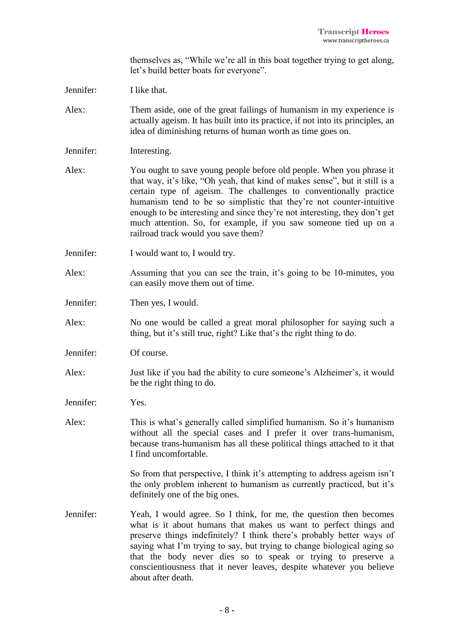themselves as, "While we're all in this boat together trying to get along, let's build better boats for everyone".

Jennifer: I like that.

- Alex: Them aside, one of the great failings of humanism in my experience is actually ageism. It has built into its practice, if not into its principles, an idea of diminishing returns of human worth as time goes on.
- Jennifer: Interesting.
- Alex: You ought to save young people before old people. When you phrase it that way, it's like, "Oh yeah, that kind of makes sense", but it still is a certain type of ageism. The challenges to conventionally practice humanism tend to be so simplistic that they're not counter-intuitive enough to be interesting and since they're not interesting, they don't get much attention. So, for example, if you saw someone tied up on a railroad track would you save them?
- Jennifer: I would want to, I would try.
- Alex: Assuming that you can see the train, it's going to be 10-minutes, you can easily move them out of time.
- Jennifer: Then yes, I would.
- Alex: No one would be called a great moral philosopher for saying such a thing, but it's still true, right? Like that's the right thing to do.
- Jennifer: Of course.
- Alex: Just like if you had the ability to cure someone's Alzheimer's, it would be the right thing to do.

Jennifer: Yes.

Alex: This is what's generally called simplified humanism. So it's humanism without all the special cases and I prefer it over trans-humanism, because trans-humanism has all these political things attached to it that I find uncomfortable.

> So from that perspective, I think it's attempting to address ageism isn't the only problem inherent to humanism as currently practiced, but it's definitely one of the big ones.

Jennifer: Yeah, I would agree. So I think, for me, the question then becomes what is it about humans that makes us want to perfect things and preserve things indefinitely? I think there's probably better ways of saying what I'm trying to say, but trying to change biological aging so that the body never dies so to speak or trying to preserve a conscientiousness that it never leaves, despite whatever you believe about after death.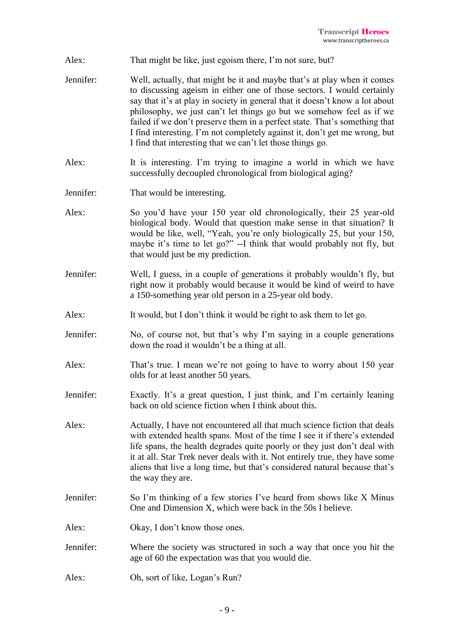- Alex: That might be like, just egoism there, I'm not sure, but?
- Jennifer: Well, actually, that might be it and maybe that's at play when it comes to discussing ageism in either one of those sectors. I would certainly say that it's at play in society in general that it doesn't know a lot about philosophy, we just can't let things go but we somehow feel as if we failed if we don't preserve them in a perfect state. That's something that I find interesting. I'm not completely against it, don't get me wrong, but I find that interesting that we can't let those things go.
- Alex: It is interesting. I'm trying to imagine a world in which we have successfully decoupled chronological from biological aging?
- Jennifer: That would be interesting.
- Alex: So you'd have your 150 year old chronologically, their 25 year-old biological body. Would that question make sense in that situation? It would be like, well, "Yeah, you're only biologically 25, but your 150, maybe it's time to let go?" --I think that would probably not fly, but that would just be my prediction.
- Jennifer: Well, I guess, in a couple of generations it probably wouldn't fly, but right now it probably would because it would be kind of weird to have a 150-something year old person in a 25-year old body.
- Alex: It would, but I don't think it would be right to ask them to let go.
- Jennifer: No, of course not, but that's why I'm saying in a couple generations down the road it wouldn't be a thing at all.
- Alex: That's true. I mean we're not going to have to worry about 150 year olds for at least another 50 years.
- Jennifer: Exactly. It's a great question, I just think, and I'm certainly leaning back on old science fiction when I think about this.
- Alex: Actually, I have not encountered all that much science fiction that deals with extended health spans. Most of the time I see it if there's extended life spans, the health degrades quite poorly or they just don't deal with it at all. Star Trek never deals with it. Not entirely true, they have some aliens that live a long time, but that's considered natural because that's the way they are.
- Jennifer: So I'm thinking of a few stories I've heard from shows like X Minus One and Dimension X, which were back in the 50s I believe.
- Alex: Okay, I don't know those ones.
- Jennifer: Where the society was structured in such a way that once you hit the age of 60 the expectation was that you would die.
- Alex: Oh, sort of like, Logan's Run?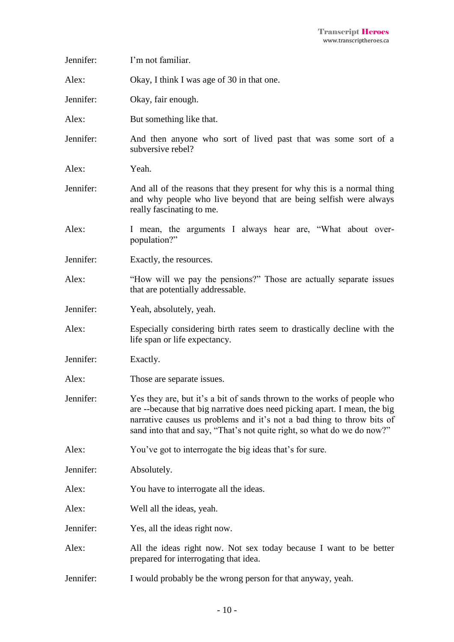| Jennifer: | I'm not familiar.                                                                                                                                                                                                                                                                                         |
|-----------|-----------------------------------------------------------------------------------------------------------------------------------------------------------------------------------------------------------------------------------------------------------------------------------------------------------|
| Alex:     | Okay, I think I was age of 30 in that one.                                                                                                                                                                                                                                                                |
| Jennifer: | Okay, fair enough.                                                                                                                                                                                                                                                                                        |
| Alex:     | But something like that.                                                                                                                                                                                                                                                                                  |
| Jennifer: | And then anyone who sort of lived past that was some sort of a<br>subversive rebel?                                                                                                                                                                                                                       |
| Alex:     | Yeah.                                                                                                                                                                                                                                                                                                     |
| Jennifer: | And all of the reasons that they present for why this is a normal thing<br>and why people who live beyond that are being selfish were always<br>really fascinating to me.                                                                                                                                 |
| Alex:     | I mean, the arguments I always hear are, "What about over-<br>population?"                                                                                                                                                                                                                                |
| Jennifer: | Exactly, the resources.                                                                                                                                                                                                                                                                                   |
| Alex:     | "How will we pay the pensions?" Those are actually separate issues<br>that are potentially addressable.                                                                                                                                                                                                   |
| Jennifer: | Yeah, absolutely, yeah.                                                                                                                                                                                                                                                                                   |
| Alex:     | Especially considering birth rates seem to drastically decline with the<br>life span or life expectancy.                                                                                                                                                                                                  |
| Jennifer: | Exactly.                                                                                                                                                                                                                                                                                                  |
| Alex:     | Those are separate issues.                                                                                                                                                                                                                                                                                |
| Jennifer: | Yes they are, but it's a bit of sands thrown to the works of people who<br>are --because that big narrative does need picking apart. I mean, the big<br>narrative causes us problems and it's not a bad thing to throw bits of<br>sand into that and say, "That's not quite right, so what do we do now?" |
| Alex:     | You've got to interrogate the big ideas that's for sure.                                                                                                                                                                                                                                                  |
| Jennifer: | Absolutely.                                                                                                                                                                                                                                                                                               |
| Alex:     | You have to interrogate all the ideas.                                                                                                                                                                                                                                                                    |
| Alex:     | Well all the ideas, yeah.                                                                                                                                                                                                                                                                                 |
| Jennifer: | Yes, all the ideas right now.                                                                                                                                                                                                                                                                             |
| Alex:     | All the ideas right now. Not sex today because I want to be better<br>prepared for interrogating that idea.                                                                                                                                                                                               |
| Jennifer: | I would probably be the wrong person for that anyway, yeah.                                                                                                                                                                                                                                               |